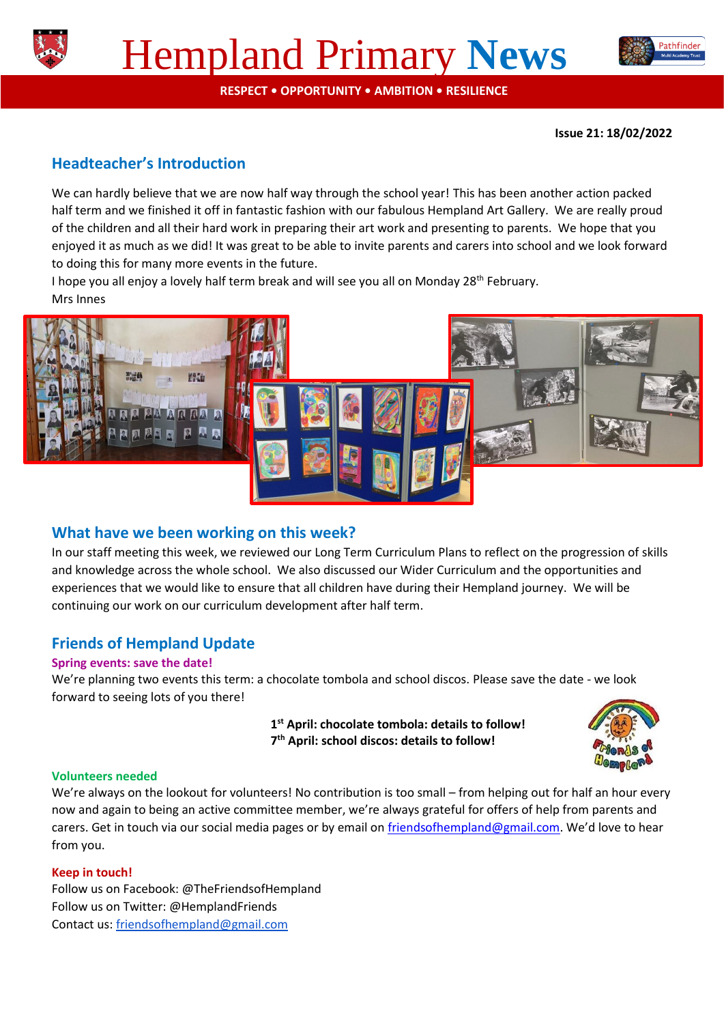



**RESPECT • OPPORTUNITY • AMBITION • RESILIENCE**

**Issue 21: 18/02/2022**

# **Headteacher's Introduction**

We can hardly believe that we are now half way through the school year! This has been another action packed half term and we finished it off in fantastic fashion with our fabulous Hempland Art Gallery. We are really proud of the children and all their hard work in preparing their art work and presenting to parents. We hope that you enjoyed it as much as we did! It was great to be able to invite parents and carers into school and we look forward to doing this for many more events in the future.

I hope you all enjoy a lovely half term break and will see you all on Monday 28<sup>th</sup> February. Mrs Innes



## **What have we been working on this week?**

In our staff meeting this week, we reviewed our Long Term Curriculum Plans to reflect on the progression of skills and knowledge across the whole school. We also discussed our Wider Curriculum and the opportunities and experiences that we would like to ensure that all children have during their Hempland journey. We will be continuing our work on our curriculum development after half term.

## **Friends of Hempland Update**

#### **Spring events: save the date!**

We're planning two events this term: a chocolate tombola and school discos. Please save the date - we look forward to seeing lots of you there!

> **1 st April: chocolate tombola: details to follow! 7 th April: school discos: details to follow!**



#### **Volunteers needed**

We're always on the lookout for volunteers! No contribution is too small – from helping out for half an hour every now and again to being an active committee member, we're always grateful for offers of help from parents and carers. Get in touch via our social media pages or by email o[n friendsofhempland@gmail.com](mailto:friendsofhempland@gmail.com). We'd love to hear from you.

#### **Keep in touch!**

Follow us on Facebook: @TheFriendsofHempland Follow us on Twitter: @HemplandFriends Contact us: [friendsofhempland@gmail.com](mailto:friendsofhempland@gmail.com)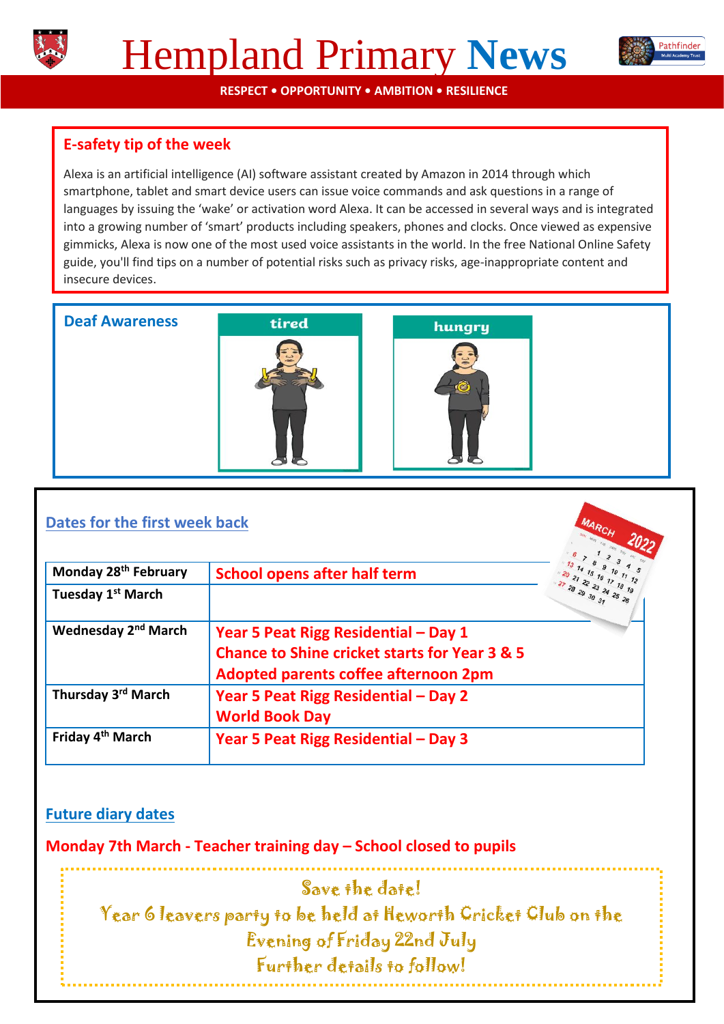



**RESPECT • OPPORTUNITY • AMBITION • RESILIENCE**

# **E-safety tip of the week**

Alexa is an artificial intelligence (AI) software assistant created by Amazon in 2014 through which smartphone, tablet and smart device users can issue voice commands and ask questions in a range of languages by issuing the 'wake' or activation word Alexa. It can be accessed in several ways and is integrated into a growing number of 'smart' products including speakers, phones and clocks. Once viewed as expensive gimmicks, Alexa is now one of the most used voice assistants in the world. In the free National Online Safety guide, you'll find tips on a number of potential risks such as privacy risks, age-inappropriate content and insecure devices.

**Deaf Awareness** 





## **Dates for the first week back**

| Monday 28 <sup>th</sup> February | <b>School opens after half term</b>                      |  |
|----------------------------------|----------------------------------------------------------|--|
| Tuesday 1 <sup>st</sup> March    |                                                          |  |
| Wednesday 2 <sup>nd</sup> March  | Year 5 Peat Rigg Residential - Day 1                     |  |
|                                  | <b>Chance to Shine cricket starts for Year 3 &amp; 5</b> |  |
|                                  | Adopted parents coffee afternoon 2pm                     |  |
| Thursday 3 <sup>rd</sup> March   | Year 5 Peat Rigg Residential - Day 2                     |  |
|                                  | <b>World Book Day</b>                                    |  |
| Friday 4 <sup>th</sup> March     | Year 5 Peat Rigg Residential - Day 3                     |  |

## **Future diary dates**

**Monday 7th March - Teacher training day – School closed to pupils** 

Save the date! Year 6 leavers party to be held at Heworth Cricket Club on the Evening of Friday 22nd July Further details to follow!